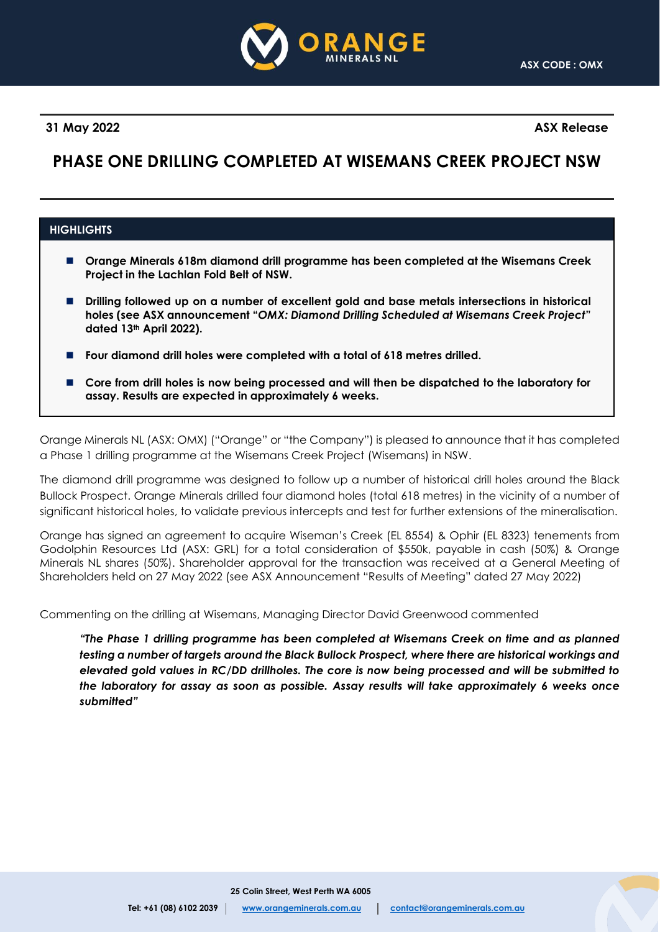

**31 May 2022 ASX Release**

# **PHASE ONE DRILLING COMPLETED AT WISEMANS CREEK PROJECT NSW**

# **HIGHLIGHTS**

- ◼ **Orange Minerals 618m diamond drill programme has been completed at the Wisemans Creek Project in the Lachlan Fold Belt of NSW.**
- Drilling followed up on a number of excellent gold and base metals intersections in historical **holes (see ASX announcement "***OMX: Diamond Drilling Scheduled at Wisemans Creek Project***" dated 13th April 2022).**
- ◼ **Four diamond drill holes were completed with a total of 618 metres drilled.**
- Core from drill holes is now being processed and will then be dispatched to the laboratory for **assay. Results are expected in approximately 6 weeks.**

Orange Minerals NL (ASX: OMX) ("Orange" or "the Company") is pleased to announce that it has completed a Phase 1 drilling programme at the Wisemans Creek Project (Wisemans) in NSW.

The diamond drill programme was designed to follow up a number of historical drill holes around the Black Bullock Prospect. Orange Minerals drilled four diamond holes (total 618 metres) in the vicinity of a number of significant historical holes, to validate previous intercepts and test for further extensions of the mineralisation.

Orange has signed an agreement to acquire Wiseman's Creek (EL 8554) & Ophir (EL 8323) tenements from Godolphin Resources Ltd (ASX: GRL) for a total consideration of \$550k, payable in cash (50%) & Orange Minerals NL shares (50%). Shareholder approval for the transaction was received at a General Meeting of Shareholders held on 27 May 2022 (see ASX Announcement "Results of Meeting" dated 27 May 2022)

Commenting on the drilling at Wisemans, Managing Director David Greenwood commented

*"The Phase 1 drilling programme has been completed at Wisemans Creek on time and as planned testing a number of targets around the Black Bullock Prospect, where there are historical workings and elevated gold values in RC/DD drillholes. The core is now being processed and will be submitted to the laboratory for assay as soon as possible. Assay results will take approximately 6 weeks once submitted"*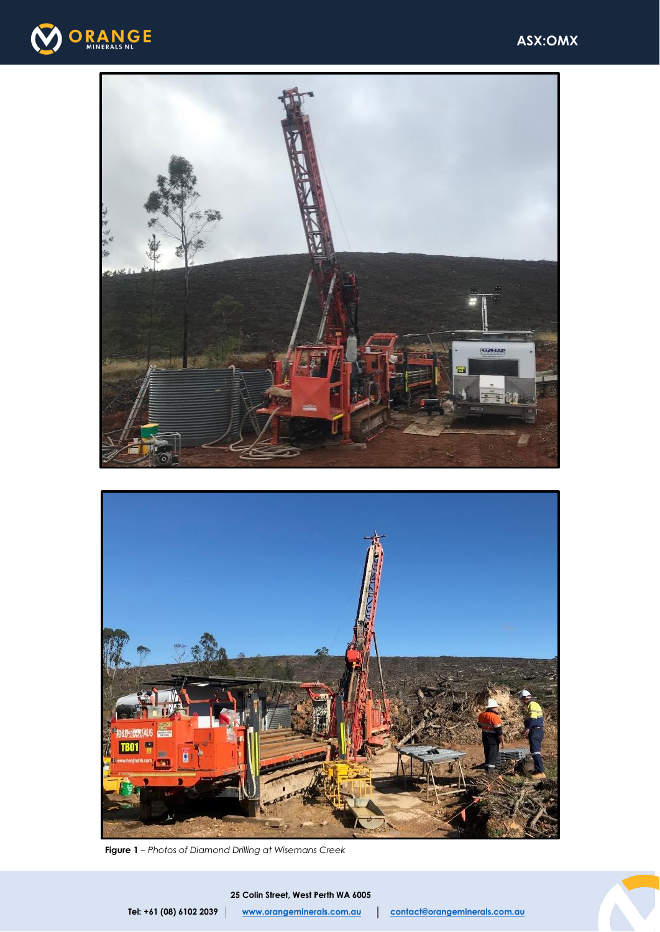





**Figure 1** – *Photos of Diamond Drilling at Wisemans Creek*